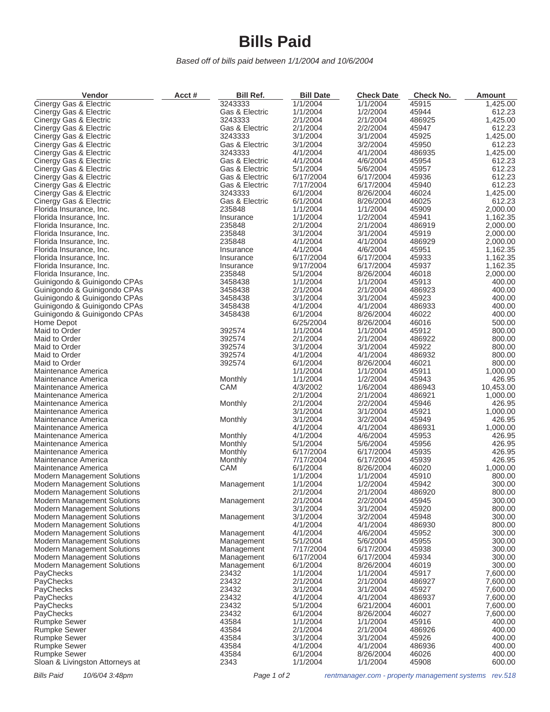## **Bills Paid**

*Based off of bills paid between 1/1/2004 and 10/6/2004*

| Vendor                                           | Acct# | Bill Ref.                        | <b>Bill Date</b>     | <b>Check Date</b>    | Check No.      | <b>Amount</b>      |
|--------------------------------------------------|-------|----------------------------------|----------------------|----------------------|----------------|--------------------|
| Cinergy Gas & Electric                           |       | 3243333                          | 1/1/2004             | 1/1/2004             | 45915          | 1,425.00           |
| Cinergy Gas & Electric                           |       | Gas & Electric                   | 1/1/2004             | 1/2/2004             | 45944          | 612.23             |
| Cinergy Gas & Electric                           |       | 3243333                          | 2/1/2004             | 2/1/2004             | 486925         | 1,425.00           |
| Cinergy Gas & Electric                           |       | Gas & Electric                   | 2/1/2004             | 2/2/2004             | 45947          | 612.23             |
| Cinergy Gas & Electric                           |       | 3243333                          | 3/1/2004             | 3/1/2004             | 45925          | 1,425.00           |
| Cinergy Gas & Electric                           |       | Gas & Electric                   | 3/1/2004             | 3/2/2004             | 45950          | 612.23             |
| Cinergy Gas & Electric                           |       | 3243333                          | 4/1/2004             | 4/1/2004             | 486935         | 1,425.00           |
| Cinergy Gas & Electric                           |       | Gas & Electric<br>Gas & Electric | 4/1/2004<br>5/1/2004 | 4/6/2004<br>5/6/2004 | 45954<br>45957 | 612.23<br>612.23   |
| Cinergy Gas & Electric<br>Cinergy Gas & Electric |       | Gas & Electric                   | 6/17/2004            | 6/17/2004            | 45936          | 612.23             |
| Cinergy Gas & Electric                           |       | Gas & Electric                   | 7/17/2004            | 6/17/2004            | 45940          | 612.23             |
| Cinergy Gas & Electric                           |       | 3243333                          | 6/1/2004             | 8/26/2004            | 46024          | 1,425.00           |
| Cinergy Gas & Electric                           |       | Gas & Electric                   | 6/1/2004             | 8/26/2004            | 46025          | 612.23             |
| Florida Insurance, Inc.                          |       | 235848                           | 1/1/2004             | 1/1/2004             | 45909          | 2,000.00           |
| Florida Insurance, Inc.                          |       | Insurance                        | 1/1/2004             | 1/2/2004             | 45941          | 1,162.35           |
| Florida Insurance, Inc.                          |       | 235848                           | 2/1/2004             | 2/1/2004             | 486919         | 2,000.00           |
| Florida Insurance, Inc.                          |       | 235848                           | 3/1/2004             | 3/1/2004             | 45919          | 2,000.00           |
| Florida Insurance, Inc.                          |       | 235848                           | 4/1/2004             | 4/1/2004             | 486929         | 2,000.00           |
| Florida Insurance, Inc.                          |       | Insurance                        | 4/1/2004             | 4/6/2004             | 45951          | 1,162.35           |
| Florida Insurance, Inc.                          |       | Insurance                        | 6/17/2004            | 6/17/2004            | 45933          | 1,162.35           |
| Florida Insurance, Inc.                          |       | Insurance                        | 9/17/2004            | 6/17/2004            | 45937          | 1,162.35           |
| Florida Insurance, Inc.                          |       | 235848                           | 5/1/2004             | 8/26/2004            | 46018          | 2,000.00           |
| Guinigondo & Guinigondo CPAs                     |       | 3458438                          | 1/1/2004             | 1/1/2004             | 45913          | 400.00             |
| Guinigondo & Guinigondo CPAs                     |       | 3458438                          | 2/1/2004             | 2/1/2004             | 486923         | 400.00             |
| Guinigondo & Guinigondo CPAs                     |       | 3458438                          | 3/1/2004             | 3/1/2004             | 45923          | 400.00             |
| Guinigondo & Guinigondo CPAs                     |       | 3458438                          | 4/1/2004             | 4/1/2004             | 486933         | 400.00             |
| Guinigondo & Guinigondo CPAs                     |       | 3458438                          | 6/1/2004             | 8/26/2004            | 46022          | 400.00             |
| Home Depot                                       |       |                                  | 6/25/2004            | 8/26/2004            | 46016          | 500.00             |
| Maid to Order                                    |       | 392574                           | 1/1/2004             | 1/1/2004             | 45912          | 800.00             |
| Maid to Order                                    |       | 392574                           | 2/1/2004             | 2/1/2004             | 486922         | 800.00             |
| Maid to Order                                    |       | 392574                           | 3/1/2004             | 3/1/2004             | 45922          | 800.00             |
| Maid to Order                                    |       | 392574                           | 4/1/2004             | 4/1/2004             | 486932         | 800.00             |
| Maid to Order                                    |       | 392574                           | 6/1/2004             | 8/26/2004            | 46021          | 800.00             |
| Maintenance America                              |       |                                  | 1/1/2004             | 1/1/2004             | 45911          | 1,000.00           |
| Maintenance America                              |       | Monthly                          | 1/1/2004             | 1/2/2004             | 45943          | 426.95             |
| Maintenance America                              |       | CAM                              | 4/3/2002             | 1/6/2004             | 486943         | 10,453.00          |
| Maintenance America                              |       |                                  | 2/1/2004             | 2/1/2004             | 486921         | 1,000.00           |
| Maintenance America                              |       | Monthly                          | 2/1/2004<br>3/1/2004 | 2/2/2004<br>3/1/2004 | 45946<br>45921 | 426.95<br>1,000.00 |
| Maintenance America<br>Maintenance America       |       | Monthly                          | 3/1/2004             | 3/2/2004             | 45949          | 426.95             |
| Maintenance America                              |       |                                  | 4/1/2004             | 4/1/2004             | 486931         | 1,000.00           |
| Maintenance America                              |       | Monthly                          | 4/1/2004             | 4/6/2004             | 45953          | 426.95             |
| Maintenance America                              |       | Monthly                          | 5/1/2004             | 5/6/2004             | 45956          | 426.95             |
| Maintenance America                              |       | Monthly                          | 6/17/2004            | 6/17/2004            | 45935          | 426.95             |
| Maintenance America                              |       | Monthly                          | 7/17/2004            | 6/17/2004            | 45939          | 426.95             |
| Maintenance America                              |       | CAM                              | 6/1/2004             | 8/26/2004            | 46020          | 1,000.00           |
| <b>Modern Management Solutions</b>               |       |                                  | 1/1/2004             | 1/1/2004             | 45910          | 800.00             |
| <b>Modern Management Solutions</b>               |       | Management                       | 1/1/2004             | 1/2/2004             | 45942          | 300.00             |
| <b>Modern Management Solutions</b>               |       |                                  | 2/1/2004             | 2/1/2004             | 486920         | 800.00             |
| Modern Management Solutions                      |       | Management                       | 2/1/2004             | 2/2/2004             | 45945          | 300.00             |
| <b>Modern Management Solutions</b>               |       |                                  | 3/1/2004             | 3/1/2004             | 45920          | 800.00             |
| <b>Modern Management Solutions</b>               |       | Management                       | 3/1/2004             | 3/2/2004             | 45948          | 300.00             |
| <b>Modern Management Solutions</b>               |       |                                  | 4/1/2004             | 4/1/2004             | 486930         | 800.00             |
| <b>Modern Management Solutions</b>               |       | Management                       | 4/1/2004             | 4/6/2004             | 45952          | 300.00             |
| <b>Modern Management Solutions</b>               |       | Management                       | 5/1/2004             | 5/6/2004             | 45955          | 300.00             |
| <b>Modern Management Solutions</b>               |       | Management                       | 7/17/2004            | 6/17/2004            | 45938          | 300.00             |
| <b>Modern Management Solutions</b>               |       | Management                       | 6/17/2004            | 6/17/2004            | 45934          | 300.00             |
| <b>Modern Management Solutions</b>               |       | Management                       | 6/1/2004             | 8/26/2004            | 46019          | 300.00             |
| PayChecks                                        |       | 23432                            | 1/1/2004             | 1/1/2004             | 45917          | 7,600.00           |
| PayChecks                                        |       | 23432                            | 2/1/2004             | 2/1/2004             | 486927         | 7,600.00           |
| PayChecks                                        |       | 23432                            | 3/1/2004             | 3/1/2004             | 45927          | 7,600.00           |
| PayChecks                                        |       | 23432                            | 4/1/2004             | 4/1/2004             | 486937         | 7,600.00           |
| PayChecks                                        |       | 23432                            | 5/1/2004             | 6/21/2004            | 46001          | 7,600.00           |
| PayChecks                                        |       | 23432                            | 6/1/2004             | 8/26/2004            | 46027          | 7,600.00           |
| <b>Rumpke Sewer</b>                              |       | 43584                            | 1/1/2004             | 1/1/2004             | 45916          | 400.00             |
| <b>Rumpke Sewer</b>                              |       | 43584                            | 2/1/2004             | 2/1/2004             | 486926         | 400.00             |
| <b>Rumpke Sewer</b>                              |       | 43584                            | 3/1/2004             | 3/1/2004             | 45926          | 400.00             |
| <b>Rumpke Sewer</b>                              |       | 43584                            | 4/1/2004             | 4/1/2004             | 486936         | 400.00             |
| <b>Rumpke Sewer</b>                              |       | 43584                            | 6/1/2004             | 8/26/2004            | 46026          | 400.00             |
| Sloan & Livingston Attorneys at                  |       | 2343                             | 1/1/2004             | 1/1/2004             | 45908          | 600.00             |